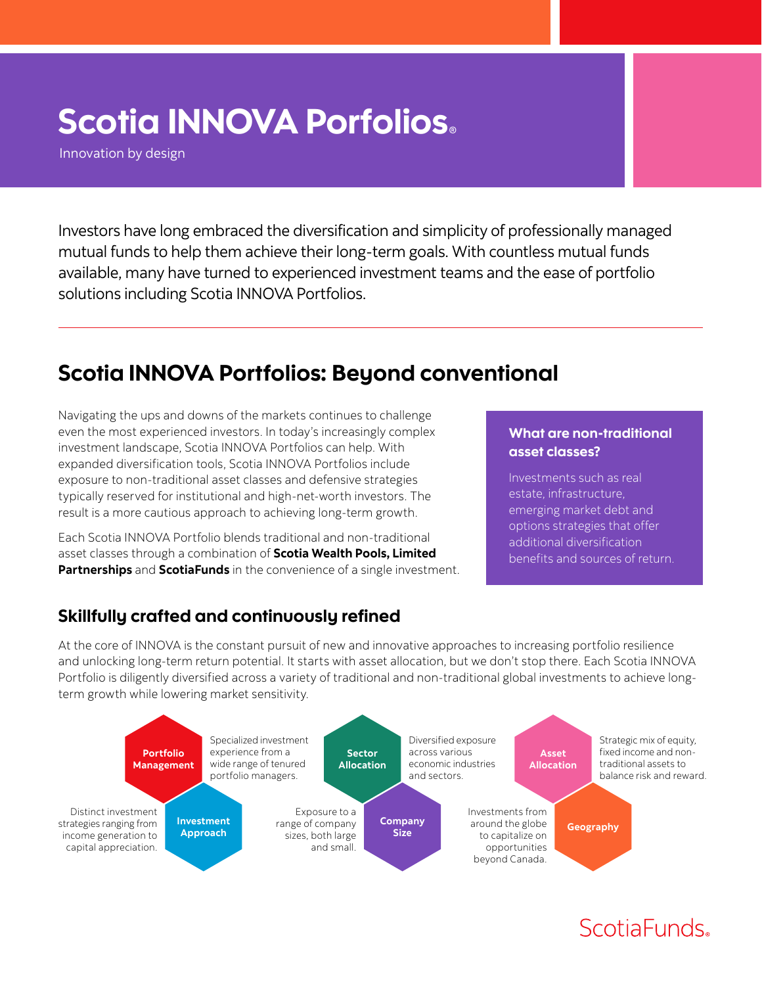# Scotia INNOVA Porfolios*®*

Innovation by design

Investors have long embraced the diversification and simplicity of professionally managed mutual funds to help them achieve their long-term goals. With countless mutual funds available, many have turned to experienced investment teams and the ease of portfolio solutions including Scotia INNOVA Portfolios.

## Scotia INNOVA Portfolios: Beyond conventional

Navigating the ups and downs of the markets continues to challenge even the most experienced investors. In today's increasingly complex investment landscape, Scotia INNOVA Portfolios can help. With expanded diversification tools, Scotia INNOVA Portfolios include exposure to non-traditional asset classes and defensive strategies typically reserved for institutional and high-net-worth investors. The result is a more cautious approach to achieving long-term growth.

Each Scotia INNOVA Portfolio blends traditional and non-traditional asset classes through a combination of **Scotia Wealth Pools, Limited Partnerships** and **ScotiaFunds** in the convenience of a single investment.

#### What are non-traditional asset classes?

Investments such as real estate, infrastructure, emerging market debt and options strategies that offer additional diversification benefits and sources of return.

#### Skillfully crafted and continuously refined

At the core of INNOVA is the constant pursuit of new and innovative approaches to increasing portfolio resilience and unlocking long-term return potential. It starts with asset allocation, but we don't stop there. Each Scotia INNOVA Portfolio is diligently diversified across a variety of traditional and non-traditional global investments to achieve longterm growth while lowering market sensitivity.



# ScotiaFunds.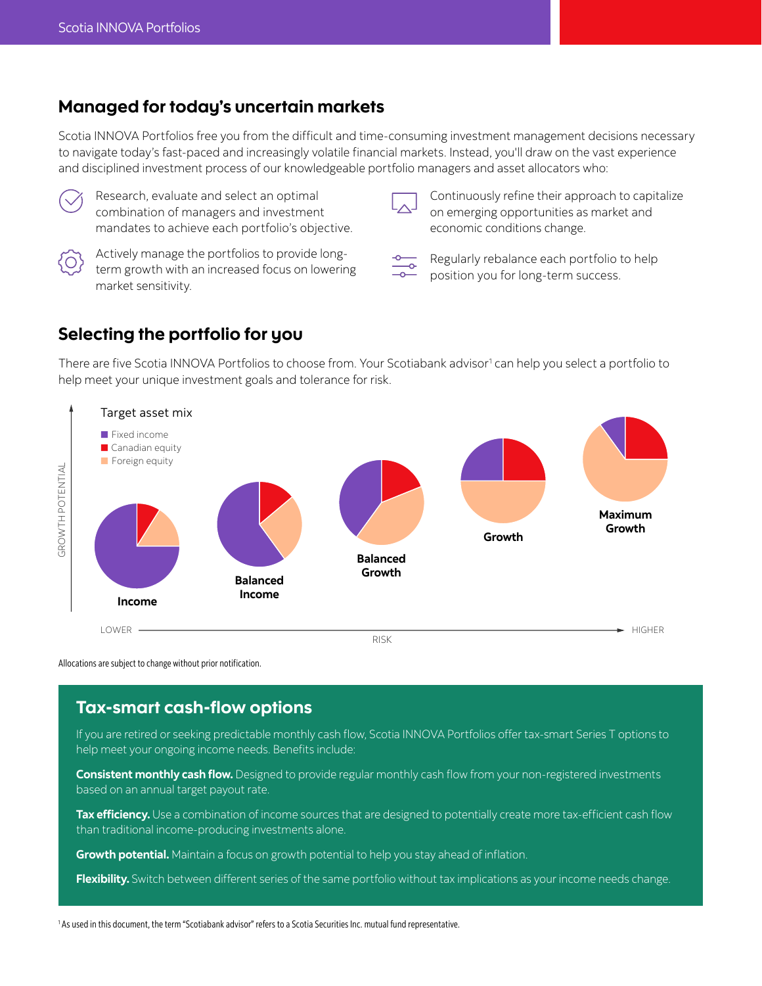#### Managed for today's uncertain markets

Scotia INNOVA Portfolios free you from the difficult and time-consuming investment management decisions necessary to navigate today's fast-paced and increasingly volatile financial markets. Instead, you'll draw on the vast experience and disciplined investment process of our knowledgeable portfolio managers and asset allocators who:



Research, evaluate and select an optimal combination of managers and investment mandates to achieve each portfolio's objective.



Actively manage the portfolios to provide longterm growth with an increased focus on lowering market sensitivity.

Continuously refine their approach to capitalize on emerging opportunities as market and economic conditions change.



Regularly rebalance each portfolio to help position you for long-term success.

#### Selecting the portfolio for you

There are five Scotia INNOVA Portfolios to choose from. Your Scotiabank advisor<sup>1</sup> can help you select a portfolio to help meet your unique investment goals and tolerance for risk.



Allocations are subject to change without prior notification.

#### Tax-smart cash-flow options

If you are retired or seeking predictable monthly cash flow, Scotia INNOVA Portfolios offer tax-smart Series T options to help meet your ongoing income needs. Benefits include:

**Consistent monthly cash flow.** Designed to provide regular monthly cash flow from your non-registered investments based on an annual target payout rate.

Tax efficiency. Use a combination of income sources that are designed to potentially create more tax-efficient cash flow than traditional income-producing investments alone.

**Growth potential.** Maintain a focus on growth potential to help you stay ahead of inflation.

**Flexibility.** Switch between different series of the same portfolio without tax implications as your income needs change.